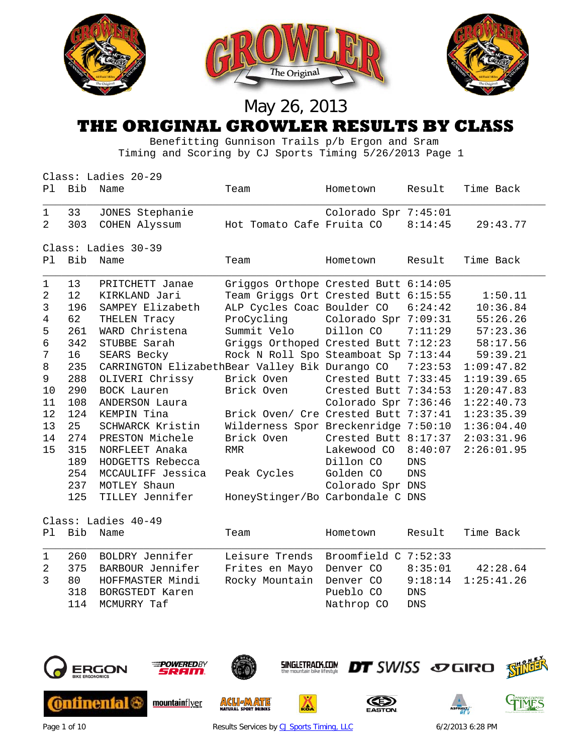

#### **THE ORIGINAL GROWLER RESULTS BY CLASS**

 Benefitting Gunnison Trails p/b Ergon and Sram Timing and Scoring by CJ Sports Timing 5/26/2013 Page 1

|      |                     | Class: Ladies 20-29                                    |                                      |                        |            |            |  |  |  |
|------|---------------------|--------------------------------------------------------|--------------------------------------|------------------------|------------|------------|--|--|--|
| Pl i | Bib                 | Name                                                   | Team                                 | Hometown               | Result     | Time Back  |  |  |  |
| 1    | 33                  | JONES Stephanie                                        |                                      | Colorado Spr 7:45:01   |            |            |  |  |  |
| 2    | 303                 | COHEN Alyssum                                          | Hot Tomato Cafe Fruita CO            |                        | 8:14:45    | 29:43.77   |  |  |  |
|      |                     | Class: Ladies 30-39                                    |                                      |                        |            |            |  |  |  |
| P1   | Bib                 | Name                                                   | Team                                 | Hometown               | Result     | Time Back  |  |  |  |
| 1    | 13                  | PRITCHETT Janae                                        | Griggos Orthope Crested Butt 6:14:05 |                        |            |            |  |  |  |
| 2    | $12 \,$             | KIRKLAND Jari                                          | Team Griggs Ort Crested Butt 6:15:55 |                        |            | 1:50.11    |  |  |  |
| 3    | 196                 | SAMPEY Elizabeth                                       | ALP Cycles Coac Boulder CO           |                        | 6:24:42    | 10:36.84   |  |  |  |
| 4    | 62                  | THELEN Tracy                                           | ProCycling                           | Colorado Spr 7:09:31   |            | 55:26.26   |  |  |  |
| 5    | 261                 | WARD Christena                                         | Summit Velo                          | Dillon CO              | 7:11:29    | 57:23.36   |  |  |  |
| 6    | 342                 | STUBBE Sarah                                           | Griggs Orthoped Crested Butt 7:12:23 |                        |            | 58:17.56   |  |  |  |
| 7    | 16                  | SEARS Becky                                            | Rock N Roll Spo Steamboat Sp 7:13:44 |                        |            | 59:39.21   |  |  |  |
| 8    | 235                 | CARRINGTON ElizabethBear Valley Bik Durango CO 7:23:53 |                                      |                        |            | 1:09:47.82 |  |  |  |
| 9    | 288                 | OLIVERI Chrissy                                        | Brick Oven                           | Crested Butt 7:33:45   |            | 1:19:39.65 |  |  |  |
| 10   | 290                 | BOCK Lauren                                            | Brick Oven                           | Crested Butt $7:34:53$ |            | 1:20:47.83 |  |  |  |
| 11   | 108                 | ANDERSON Laura                                         |                                      | Colorado Spr 7:36:46   |            | 1:22:40.73 |  |  |  |
| 12   | 124                 | KEMPIN Tina                                            | Brick Oven/ Cre Crested Butt 7:37:41 |                        |            | 1:23:35.39 |  |  |  |
| 13   | 25                  | SCHWARCK Kristin                                       | Wilderness Spor Breckenridge 7:50:10 |                        |            | 1:36:04.40 |  |  |  |
| 14   | 274                 | PRESTON Michele                                        | Brick Oven                           | Crested Butt $8:17:37$ |            | 2:03:31.96 |  |  |  |
| 15   | 315                 | NORFLEET Anaka                                         | <b>RMR</b>                           | Lakewood CO            | 8:40:07    | 2:26:01.95 |  |  |  |
|      | 189                 | HODGETTS Rebecca                                       |                                      | Dillon CO              | <b>DNS</b> |            |  |  |  |
|      | 254                 | MCCAULIFF Jessica                                      | Peak Cycles                          | Golden CO              | <b>DNS</b> |            |  |  |  |
|      | 237                 | MOTLEY Shaun                                           |                                      | Colorado Spr DNS       |            |            |  |  |  |
|      | 125                 | TILLEY Jennifer                                        | HoneyStinger/Bo Carbondale C DNS     |                        |            |            |  |  |  |
|      | Class: Ladies 40-49 |                                                        |                                      |                        |            |            |  |  |  |

|                |     | Pl Bib Name                                                                                                  | Team                                                                                                                            | Hometown                |                          | Result Time Back |
|----------------|-----|--------------------------------------------------------------------------------------------------------------|---------------------------------------------------------------------------------------------------------------------------------|-------------------------|--------------------------|------------------|
| $\overline{1}$ | 318 | 260 BOLDRY Jennifer<br>2 375 BARBOUR Jennifer<br>3 80 HOFFMASTER Mindi<br>BORGSTEDT Karen<br>114 MCMURRY Taf | Leisure Trends Broomfield C 7:52:33<br>Frites en Mayo Denver CO 8:35:01 42:28.64<br>Rocky Mountain Denver CO 9:18:14 1:25:41.26 | Pueblo CO<br>Nathrop CO | <b>DNS</b><br><b>DNS</b> |                  |
|                |     |                                                                                                              |                                                                                                                                 |                         |                          |                  |



Page 1 of 10 **Page 1 of 10** Results Services b[y CJ Sports Timing, LLC](http://www.cjtiming.com/) 6/2/2013 6:28 PM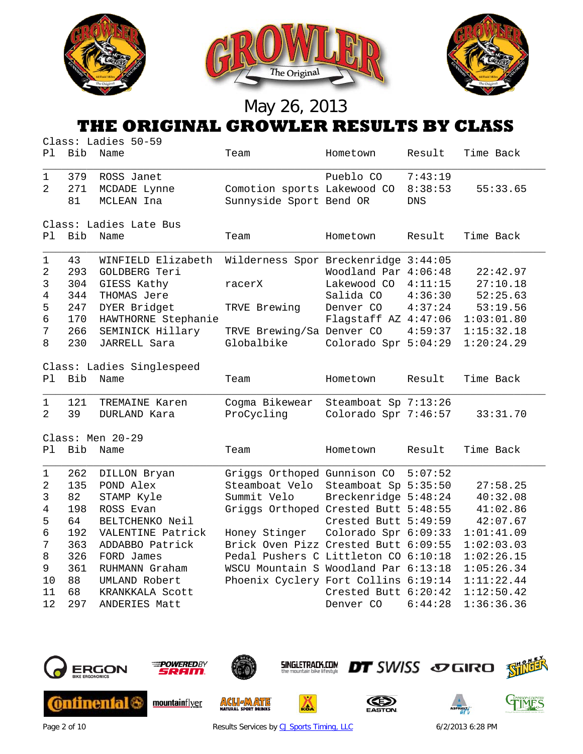

#### **THE ORIGINAL GROWLER RESULTS BY CLASS**

|                                                                 |                                                                                | Class: Ladies 50-59                                                                                                                                                                                                 |                                                                                                                                                                                                                                                                                       |                                                                                                                                                                           |                                                    |                                                                                                                                                |
|-----------------------------------------------------------------|--------------------------------------------------------------------------------|---------------------------------------------------------------------------------------------------------------------------------------------------------------------------------------------------------------------|---------------------------------------------------------------------------------------------------------------------------------------------------------------------------------------------------------------------------------------------------------------------------------------|---------------------------------------------------------------------------------------------------------------------------------------------------------------------------|----------------------------------------------------|------------------------------------------------------------------------------------------------------------------------------------------------|
| Ρl                                                              | Bib                                                                            | Name                                                                                                                                                                                                                | Team                                                                                                                                                                                                                                                                                  | Hometown                                                                                                                                                                  | Result                                             | Time Back                                                                                                                                      |
| $\mathbf 1$<br>2                                                | 379<br>271<br>81                                                               | ROSS Janet<br>MCDADE Lynne<br>MCLEAN Ina                                                                                                                                                                            | Comotion sports Lakewood CO<br>Sunnyside Sport Bend OR                                                                                                                                                                                                                                | Pueblo CO                                                                                                                                                                 | 7:43:19<br>8:38:53<br><b>DNS</b>                   | 55:33.65                                                                                                                                       |
|                                                                 |                                                                                | Class: Ladies Late Bus                                                                                                                                                                                              |                                                                                                                                                                                                                                                                                       |                                                                                                                                                                           |                                                    |                                                                                                                                                |
| Ρl                                                              | Bib                                                                            | Name                                                                                                                                                                                                                | Team                                                                                                                                                                                                                                                                                  | Hometown                                                                                                                                                                  | Result                                             | Time Back                                                                                                                                      |
| $\mathbf{1}$<br>2<br>3<br>4<br>5<br>6<br>7<br>8<br>Pl<br>1<br>2 | 43<br>293<br>304<br>344<br>247<br>170<br>266<br>230<br><b>Bib</b><br>121<br>39 | WINFIELD Elizabeth<br>GOLDBERG Teri<br>GIESS Kathy<br>THOMAS Jere<br>DYER Bridget<br>HAWTHORNE Stephanie<br>SEMINICK Hillary<br>JARRELL Sara<br>Class: Ladies Singlespeed<br>Name<br>TREMAINE Karen<br>DURLAND Kara | Wilderness Spor Breckenridge 3:44:05<br>racerX<br>TRVE Brewing<br>TRVE Brewing/Sa Denver CO<br>Globalbike<br>Team<br>Cogma Bikewear<br>ProCycling                                                                                                                                     | Woodland Par 4:06:48<br>Lakewood CO<br>Salida CO<br>Denver CO<br>Flagstaff AZ 4:47:06<br>Colorado Spr 5:04:29<br>Hometown<br>Steamboat Sp 7:13:26<br>Colorado Spr 7:46:57 | 4:11:15<br>4:36:30<br>4:37:24<br>4:59:37<br>Result | 22:42.97<br>27:10.18<br>52:25.63<br>53:19.56<br>1:03:01.80<br>1:15:32.18<br>1:20:24.29<br>Time Back<br>33:31.70                                |
|                                                                 |                                                                                | Class: Men 20-29                                                                                                                                                                                                    |                                                                                                                                                                                                                                                                                       |                                                                                                                                                                           |                                                    |                                                                                                                                                |
| P1                                                              | <b>Bib</b>                                                                     | Name                                                                                                                                                                                                                | Team                                                                                                                                                                                                                                                                                  | Hometown                                                                                                                                                                  | Result                                             | Time Back                                                                                                                                      |
| 1<br>2<br>3<br>4<br>5<br>б<br>7<br>8<br>9<br>10<br>11<br>12     | 262<br>135<br>82<br>198<br>64<br>192<br>363<br>326<br>361<br>88<br>68<br>297   | DILLON Bryan<br>POND Alex<br>STAMP Kyle<br>ROSS Evan<br>BELTCHENKO Neil<br>VALENTINE Patrick<br>ADDABBO Patrick<br>FORD James<br>RUHMANN Graham<br>UMLAND Robert<br>KRANKKALA Scott<br>ANDERIES Matt                | Griggs Orthoped Gunnison CO<br>Steamboat Velo<br>Summit Velo<br>Griggs Orthoped Crested Butt 5:48:55<br>Honey Stinger<br>Brick Oven Pizz Crested Butt 6:09:55<br>Pedal Pushers C Littleton CO 6:10:18<br>WSCU Mountain S Woodland Par 6:13:18<br>Phoenix Cyclery Fort Collins 6:19:14 | Steamboat Sp 5:35:50<br>Breckenridge 5:48:24<br>Crested Butt 5:49:59<br>Colorado Spr 6:09:33<br>Crested Butt 6:20:42<br>Denver CO                                         | 5:07:52<br>6:44:28                                 | 27:58.25<br>40:32.08<br>41:02.86<br>42:07.67<br>1:01:41.09<br>1:02:03.03<br>1:02:26.15<br>1:05:26.34<br>1:11:22.44<br>1:12:50.42<br>1:36:36.36 |



Page 2 of 10 **Results Services b[y CJ Sports Timing, LLC](http://www.cjtiming.com/)** 6/2/2013 6:28 PM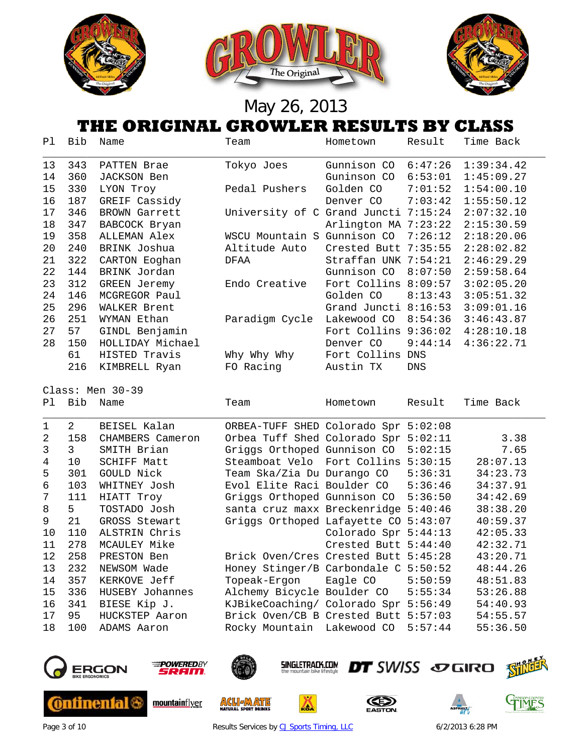

#### **THE ORIGINAL GROWLER RESULTS BY CLASS**

| Ρl | Bib | Name             | Team                                 | Hometown               | Result  | Time Back  |
|----|-----|------------------|--------------------------------------|------------------------|---------|------------|
| 13 | 343 | PATTEN Brae      | Tokyo Joes                           | Gunnison CO            | 6:47:26 | 1:39:34.42 |
| 14 | 360 | JACKSON Ben      |                                      | Guninson CO            | 6:53:01 | 1:45:09.27 |
| 15 | 330 | LYON Troy        | Pedal Pushers                        | Golden CO              | 7:01:52 | 1:54:00.10 |
| 16 | 187 | GREIF Cassidy    |                                      | Denver CO              | 7:03:42 | 1:55:50.12 |
| 17 | 346 | BROWN Garrett    | University of C Grand Juncti 7:15:24 |                        |         | 2:07:32.10 |
| 18 | 347 | BABCOCK Bryan    |                                      | Arlington MA 7:23:22   |         | 2:15:30.59 |
| 19 | 358 | ALLEMAN Alex     | WSCU Mountain S                      | Gunnison CO            | 7:26:12 | 2:18:20.06 |
| 20 | 240 | BRINK Joshua     | Altitude Auto                        | Crested Butt 7:35:55   |         | 2:28:02.82 |
| 21 | 322 | CARTON Eoghan    | DFAA                                 | Straffan UNK 7:54:21   |         | 2:46:29.29 |
| 22 | 144 | BRINK Jordan     |                                      | Gunnison CO            | 8:07:50 | 2:59:58.64 |
| 23 | 312 | GREEN Jeremy     | Endo Creative                        | Fort Collins 8:09:57   |         | 3:02:05.20 |
| 24 | 146 | MCGREGOR Paul    |                                      | Golden CO              | 8:13:43 | 3:05:51.32 |
| 25 | 296 | WALKER Brent     |                                      | Grand Juncti $8:16:53$ |         | 3:09:01.16 |
| 26 | 251 | WYMAN Ethan      | Paradigm Cycle                       | Lakewood CO            | 8:54:36 | 3:46:43.87 |
| 27 | 57  | GINDL Benjamin   |                                      | Fort Collins           | 9:36:02 | 4:28:10.18 |
| 28 | 150 | HOLLIDAY Michael |                                      | Denver CO              | 9:44:14 | 4:36:22.71 |
|    | 61  | HISTED Travis    | Why Why Why                          | Fort Collins           | DNS     |            |
|    | 216 | KIMBRELL Ryan    | FO Racing                            | Austin TX              | DNS     |            |

Class: Men 30-39 Pl Bib Name Team Hometown Result Time Back

|                | $2^{\circ}$   | BEISEL Kalan       | ORBEA-TUFF SHED Colorado Spr 5:02:08   |                      |         |          |
|----------------|---------------|--------------------|----------------------------------------|----------------------|---------|----------|
| $\mathfrak{D}$ | 158           | CHAMBERS Cameron   | Orbea Tuff Shed Colorado Spr 5:02:11   |                      |         | 3.38     |
| 3              | $\mathcal{E}$ | SMITH Brian        | Griggs Orthoped Gunnison CO            |                      | 5:02:15 | 7.65     |
| 4              | 10            | <b>SCHIFF Matt</b> | Steamboat Velo Fort Collins 5:30:15    |                      |         | 28:07.13 |
| 5              | 301           | GOULD Nick         | Team Ska/Zia Du Durango CO             |                      | 5:36:31 | 34:23.73 |
| 6              | 103           | WHITNEY Josh       | Evol Elite Raci Boulder CO 5:36:46     |                      |         | 34:37.91 |
| 7              | 111           | HIATT Troy         | Griggs Orthoped Gunnison CO 5:36:50    |                      |         | 34:42.69 |
| 8              | $5 -$         | TOSTADO Josh       | santa cruz maxx Breckenridge 5:40:46   |                      |         | 38:38.20 |
| 9              | 21            | GROSS Stewart      | Griggs Orthoped Lafayette CO           |                      | 5:43:07 | 40:59.37 |
| 10             | 110           | ALSTRIN Chris      |                                        | Colorado Spr 5:44:13 |         | 42:05.33 |
| 11             | 278           | MCAULEY Mike       |                                        | Crested Butt 5:44:40 |         | 42:32.71 |
| 12             | 258           | PRESTON Ben        | Brick Oven/Cres Crested Butt 5:45:28   |                      |         | 43:20.71 |
| 13             | 232           | NEWSOM Wade        | Honey Stinger/B Carbondale $C$ 5:50:52 |                      |         | 48:44.26 |
| 14             | 357           | KERKOVE Jeff       | Topeak-Ergon Eagle CO                  |                      | 5:50:59 | 48:51.83 |
| 15             | 336           | HUSEBY Johannes    | Alchemy Bicycle Boulder CO 5:55:34     |                      |         | 53:26.88 |
| 16             | 341           | BIESE Kip J.       | KJBikeCoaching/ Colorado Spr 5:56:49   |                      |         | 54:40.93 |
| 17             | 95            | HUCKSTEP Aaron     | Brick Oven/CB B Crested Butt 5:57:03   |                      |         | 54:55.57 |
| 18             | 100           | ADAMS Aaron        | Rocky Mountain Lakewood CO             |                      | 5:57:44 | 55:36.50 |



Page 3 of 10 **Results Services b[y CJ Sports Timing, LLC](http://www.cjtiming.com/)** 6/2/2013 6:28 PM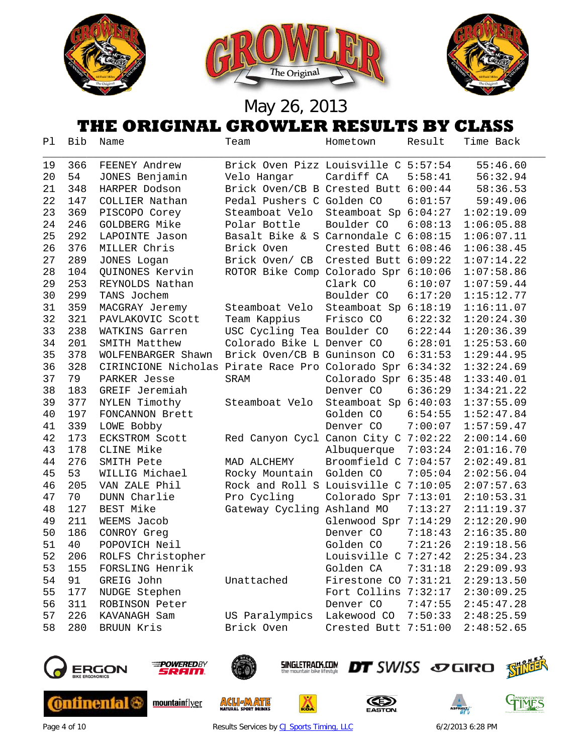





### **THE ORIGINAL GROWLER RESULTS BY CLASS**

| Ρl | Bib | Name                                                     | Team                                 | Hometown             | Result  | Time Back  |
|----|-----|----------------------------------------------------------|--------------------------------------|----------------------|---------|------------|
| 19 | 366 | FEENEY Andrew                                            | Brick Oven Pizz Louisville C 5:57:54 |                      |         | 55:46.60   |
| 20 | 54  | JONES Benjamin                                           | Velo Hangar                          | Cardiff CA           | 5:58:41 | 56:32.94   |
| 21 | 348 | HARPER Dodson                                            | Brick Oven/CB B Crested Butt 6:00:44 |                      |         | 58:36.53   |
| 22 | 147 | COLLIER Nathan                                           | Pedal Pushers C Golden CO            |                      | 6:01:57 | 59:49.06   |
| 23 | 369 | PISCOPO Corey                                            | Steamboat Velo                       | Steamboat Sp 6:04:27 |         | 1:02:19.09 |
| 24 | 246 | GOLDBERG Mike                                            | Polar Bottle                         | Boulder CO           | 6:08:13 | 1:06:05.88 |
| 25 | 292 | LAPOINTE Jason                                           | Basalt Bike & S Carnondale C 6:08:15 |                      |         | 1:06:07.11 |
| 26 | 376 | MILLER Chris                                             | Brick Oven                           | Crested Butt 6:08:46 |         | 1:06:38.45 |
| 27 | 289 | JONES Logan                                              | Brick Oven/ CB                       | Crested Butt 6:09:22 |         | 1:07:14.22 |
| 28 | 104 | QUINONES Kervin                                          | ROTOR Bike Comp Colorado Spr 6:10:06 |                      |         | 1:07:58.86 |
| 29 | 253 | REYNOLDS Nathan                                          |                                      | Clark CO             | 6:10:07 | 1:07:59.44 |
| 30 | 299 | TANS Jochem                                              |                                      | Boulder CO           | 6:17:20 | 1:15:12.77 |
| 31 | 359 | MACGRAY Jeremy                                           | Steamboat Velo                       | Steamboat Sp 6:18:19 |         | 1:16:11.07 |
| 32 | 321 | PAVLAKOVIC Scott                                         | Team Kappius                         | Frisco CO            | 6:22:32 | 1:20:24.30 |
| 33 | 238 | WATKINS Garren                                           | USC Cycling Tea Boulder CO           |                      | 6:22:44 | 1:20:36.39 |
| 34 | 201 | SMITH Matthew                                            | Colorado Bike L Denver CO            |                      | 6:28:01 | 1:25:53.60 |
| 35 | 378 | WOLFENBARGER Shawn                                       | Brick Oven/CB B Guninson CO          |                      | 6:31:53 | 1:29:44.95 |
| 36 | 328 | CIRINCIONE Nicholas Pirate Race Pro Colorado Spr 6:34:32 |                                      |                      |         | 1:32:24.69 |
| 37 | 79  | PARKER Jesse                                             | SRAM                                 | Colorado Spr 6:35:48 |         | 1:33:40.01 |
| 38 | 183 | GREIF Jeremiah                                           |                                      | Denver CO            | 6:36:29 | 1:34:21.22 |
| 39 | 377 | NYLEN Timothy                                            | Steamboat Velo                       | Steamboat Sp 6:40:03 |         | 1:37:55.09 |
| 40 | 197 | FONCANNON Brett                                          |                                      | Golden CO            | 6:54:55 | 1:52:47.84 |
| 41 | 339 | LOWE Bobby                                               |                                      | Denver CO            | 7:00:07 | 1:57:59.47 |
| 42 | 173 | ECKSTROM Scott                                           | Red Canyon Cycl Canon City C 7:02:22 |                      |         | 2:00:14.60 |
| 43 | 178 | CLINE Mike                                               |                                      | Albuquerque          | 7:03:24 | 2:01:16.70 |
| 44 | 276 | SMITH Pete                                               | MAD ALCHEMY                          | Broomfield C 7:04:57 |         | 2:02:49.81 |
| 45 | 53  | WILLIG Michael                                           | Rocky Mountain                       | Golden CO            | 7:05:04 | 2:02:56.04 |
| 46 | 205 | VAN ZALE Phil                                            | Rock and Roll S Louisville C 7:10:05 |                      |         | 2:07:57.63 |
| 47 | 70  | DUNN Charlie                                             | Pro Cycling                          | Colorado Spr 7:13:01 |         | 2:10:53.31 |
| 48 | 127 | <b>BEST Mike</b>                                         | Gateway Cycling Ashland MO           |                      | 7:13:27 | 2:11:19.37 |
| 49 | 211 | WEEMS Jacob                                              |                                      | Glenwood Spr 7:14:29 |         | 2:12:20.90 |
| 50 | 186 | CONROY Greq                                              |                                      | Denver CO            | 7:18:43 | 2:16:35.80 |
| 51 | 40  | POPOVICH Neil                                            |                                      | Golden CO            | 7:21:26 | 2:19:18.56 |
| 52 | 206 | ROLFS Christopher                                        |                                      | Louisville C 7:27:42 |         | 2:25:34.23 |
| 53 | 155 | FORSLING Henrik                                          |                                      | Golden CA            | 7:31:18 | 2:29:09.93 |
| 54 | 91  | GREIG John                                               | Unattached                           | Firestone CO 7:31:21 |         | 2:29:13.50 |
| 55 | 177 | NUDGE Stephen                                            |                                      | Fort Collins 7:32:17 |         | 2:30:09.25 |
| 56 | 311 | ROBINSON Peter                                           |                                      | Denver CO            | 7:47:55 | 2:45:47.28 |
| 57 | 226 | KAVANAGH Sam                                             | US Paralympics                       | Lakewood CO          | 7:50:33 | 2:48:25.59 |
| 58 | 280 | BRUUN Kris                                               | Brick Oven                           | Crested Butt 7:51:00 |         | 2:48:52.65 |



**Ontinental 6** 



mountainflyer



**ACLI MATE** 



**DT** SWISS SOGIRO SHILL

Δ





Page 4 of 10 **Page 4 of 10** Results Services b[y CJ Sports Timing, LLC](http://www.cjtiming.com/) 6/2/2013 6:28 PM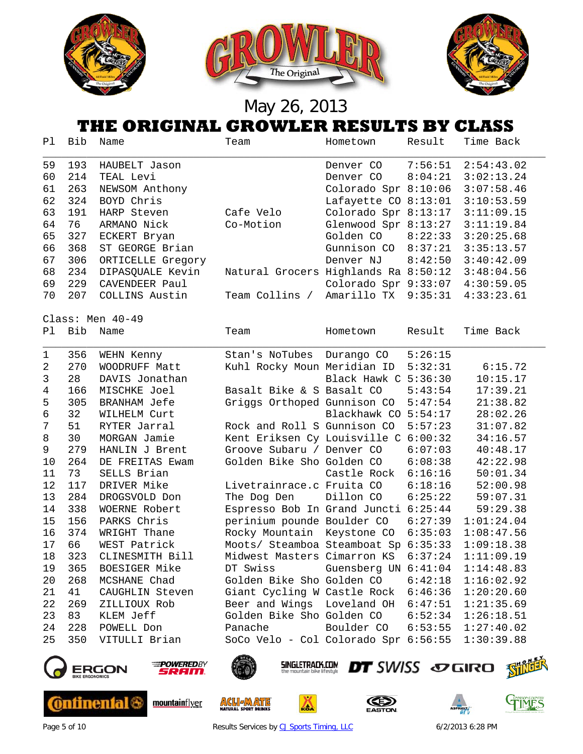

#### **THE ORIGINAL GROWLER RESULTS BY CLASS**

|    |                  |                   | UMIVININ WITU WENI AWUVELU DA VENDU  |                        |         |            |  |  |  |
|----|------------------|-------------------|--------------------------------------|------------------------|---------|------------|--|--|--|
| P1 | Bib              | Name              | Team                                 | Hometown               | Result  | Time Back  |  |  |  |
| 59 | 193              | HAUBELT Jason     |                                      | Denver CO              | 7:56:51 | 2:54:43.02 |  |  |  |
| 60 | 214              | TEAL Levi         |                                      | Denver CO              | 8:04:21 | 3:02:13.24 |  |  |  |
| 61 | 263              | NEWSOM Anthony    |                                      | Colorado Spr 8:10:06   |         | 3:07:58.46 |  |  |  |
| 62 | 324              | BOYD Chris        |                                      | Lafayette CO $8:13:01$ |         | 3:10:53.59 |  |  |  |
| 63 | 191              | HARP Steven       | Cafe Velo                            | Colorado Spr 8:13:17   |         | 3:11:09.15 |  |  |  |
| 64 | 76               | ARMANO Nick       | Co-Motion                            | Glenwood Spr 8:13:27   |         | 3:11:19.84 |  |  |  |
| 65 | 327              | ECKERT Bryan      |                                      | Golden CO              | 8:22:33 | 3:20:25.68 |  |  |  |
| 66 | 368              | ST GEORGE Brian   |                                      | Gunnison CO            | 8:37:21 | 3:35:13.57 |  |  |  |
| 67 | 306              | ORTICELLE Gregory |                                      | Denver NJ              | 8:42:50 | 3:40:42.09 |  |  |  |
| 68 | 234              | DIPASQUALE Kevin  | Natural Grocers Highlands Ra 8:50:12 |                        |         | 3:48:04.56 |  |  |  |
| 69 | 229              | CAVENDEER Paul    |                                      | Colorado Spr 9:33:07   |         | 4:30:59.05 |  |  |  |
| 70 | 207              | COLLINS Austin    | Team Collins /                       | Amarillo TX            | 9:35:31 | 4:33:23.61 |  |  |  |
|    | Class: Men 40-49 |                   |                                      |                        |         |            |  |  |  |
| Pl | <b>Bib</b>       | Name              | Team                                 | Hometown               | Result  | Time Back  |  |  |  |
| 1  | 356              | WEHN Kenny        | Stan's NoTubes                       | Durango CO             | 5:26:15 |            |  |  |  |
| 2  | 270              | WOODRUFF Matt     | Kuhl Rocky Moun Meridian ID          |                        | 5:32:31 | 6:15.72    |  |  |  |
| 3  | 28               | DAVIS Jonathan    |                                      | Black Hawk C 5:36:30   |         | 10:15.17   |  |  |  |
| 4  | 166              | MISCHKE Joel      | Basalt Bike & S Basalt CO            |                        | 5:43:54 | 17:39.21   |  |  |  |
| 5  | 305              | BRANHAM Jefe      | Griggs Orthoped Gunnison CO          |                        | 5:47:54 | 21:38.82   |  |  |  |
| 6  | 32               | WILHELM Curt      |                                      | Blackhawk CO 5:54:17   |         | 28:02.26   |  |  |  |
| 7  | 51               | RYTER Jarral      | Rock and Roll S Gunnison CO          |                        | 5:57:23 | 31:07.82   |  |  |  |
| 8  | 30               | MORGAN Jamie      | Kent Eriksen Cy Louisville C 6:00:32 |                        |         | 34:16.57   |  |  |  |
| 9  | 279              | HANLIN J Brent    | Groove Subaru / Denver CO            |                        | 6:07:03 | 40:48.17   |  |  |  |
| 10 | 264              | DE FREITAS Ewam   | Golden Bike Sho Golden CO            |                        | 6:08:38 | 42:22.98   |  |  |  |
| 11 | 73               | SELLS Brian       |                                      | Castle Rock            | 6:16:16 | 50:01.34   |  |  |  |
| 12 | 117              | DRIVER Mike       | Livetrainrace.c Fruita CO            |                        | 6:18:16 | 52:00.98   |  |  |  |
| 13 | 284              | DROGSVOLD Don     | The Dog Den                          | Dillon CO              | 6:25:22 | 59:07.31   |  |  |  |
| 14 | 338              | WOERNE Robert     | Espresso Bob In Grand Juncti 6:25:44 |                        |         | 59:29.38   |  |  |  |
| 15 | 156              | PARKS Chris       | perinium pounde Boulder CO           |                        | 6:27:39 | 1:01:24.04 |  |  |  |
| 16 | 374              | WRIGHT Thane      | Rocky Mountain Keystone CO           |                        | 6:35:03 | 1:08:47.56 |  |  |  |
| 17 | 66               | WEST Patrick      | Moots/ Steamboa Steamboat Sp 6:35:33 |                        |         | 1:09:18.38 |  |  |  |
| 18 | 323              | CLINESMITH Bill   | Midwest Masters Cimarron KS 6:37:24  |                        |         | 1:11:09.19 |  |  |  |
| 19 | 365              | BOESIGER Mike     | DT Swiss                             | Guensberg UN 6:41:04   |         | 1:14:48.83 |  |  |  |
| 20 | 268              | MCSHANE Chad      | Golden Bike Sho Golden CO            |                        | 6:42:18 | 1:16:02.92 |  |  |  |
| 21 | 41               | CAUGHLIN Steven   | Giant Cycling W Castle Rock 6:46:36  |                        |         | 1:20:20.60 |  |  |  |
| 22 | 269              | ZILLIOUX Rob      | Beer and Wings Loveland OH 6:47:51   |                        |         | 1:21:35.69 |  |  |  |
| 23 | 83               | KLEM Jeff         | Golden Bike Sho Golden CO            |                        | 6:52:34 | 1:26:18.51 |  |  |  |
| 24 | 228              | POWELL Don        | Panache                              | Boulder CO             | 6:53:55 | 1:27:40.02 |  |  |  |
| 25 | 350              | VITULLI Brian     | SoCo Velo - Col Colorado Spr 6:56:55 |                        |         | 1:30:39.88 |  |  |  |
|    |                  |                   |                                      |                        |         |            |  |  |  |



**Ontinental 6** 



mountainflyer



**ACLIEAD ATE** 

**SINGLETRACK.COM** 

Δ







Page 5 of 10 **Results Services b[y CJ Sports Timing, LLC](http://www.cjtiming.com/)** 6/2/2013 6:28 PM

**DT** SWISS SOGIRO SHILL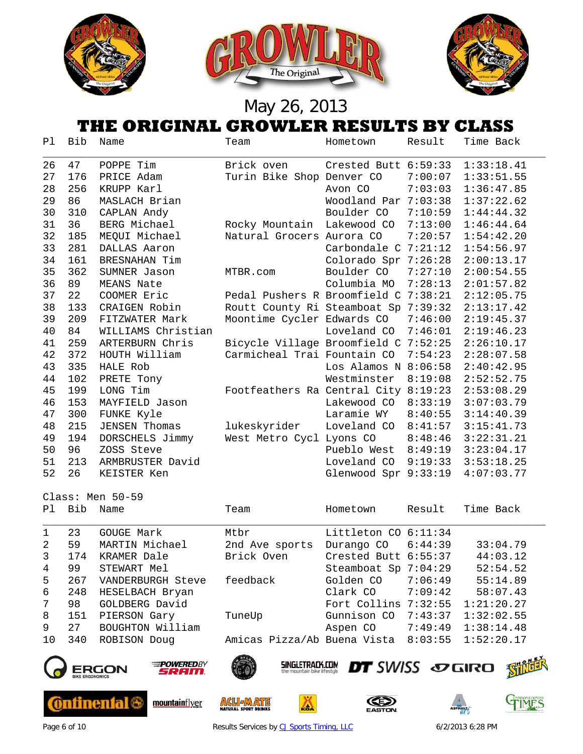

### **THE ORIGINAL GROWLER RESULTS BY CLASS**

| Ρl | Bib                    | Name                       | Team                                                  | Hometown               | Result  | Time Back               |
|----|------------------------|----------------------------|-------------------------------------------------------|------------------------|---------|-------------------------|
| 26 | 47                     | POPPE Tim                  | Brick oven                                            | Crested Butt 6:59:33   |         | 1:33:18.41              |
| 27 | 176                    | PRICE Adam                 | Turin Bike Shop Denver CO                             |                        | 7:00:07 | 1:33:51.55              |
| 28 | 256                    | KRUPP Karl                 |                                                       | Avon CO                | 7:03:03 | 1:36:47.85              |
| 29 | 86                     | MASLACH Brian              |                                                       | Woodland Par 7:03:38   |         | 1:37:22.62              |
| 30 | 310                    | CAPLAN Andy                |                                                       | Boulder CO             | 7:10:59 | 1:44:44.32              |
| 31 | 36                     | BERG Michael               | Rocky Mountain                                        | Lakewood CO            | 7:13:00 | 1:46:44.64              |
| 32 | 185                    | MEQUI Michael              | Natural Grocers Aurora CO                             |                        | 7:20:57 | 1:54:42.20              |
| 33 | 281                    | DALLAS Aaron               |                                                       | Carbondale C 7:21:12   |         | 1:54:56.97              |
| 34 | 161                    | BRESNAHAN Tim              |                                                       | Colorado Spr 7:26:28   |         | 2:00:13.17              |
| 35 | 362                    | SUMNER Jason               | MTBR.com                                              | Boulder CO             | 7:27:10 | 2:00:54.55              |
| 36 | 89                     | MEANS Nate                 |                                                       | Columbia MO            | 7:28:13 | 2:01:57.82              |
| 37 | 22                     | COOMER Eric                | Pedal Pushers R Broomfield C 7:38:21                  |                        |         | 2:12:05.75              |
| 38 | 133                    | CRAIGEN Robin              | Routt County Ri Steamboat Sp 7:39:32                  |                        |         | 2:13:17.42              |
| 39 | 209                    | FITZWATER Mark             | Moontime Cycler Edwards CO                            |                        | 7:46:00 | 2:19:45.37              |
| 40 | 84                     | WILLIAMS Christian         |                                                       | Loveland CO            | 7:46:01 | 2:19:46.23              |
| 41 | 259                    | ARTERBURN Chris            | Bicycle Village Broomfield C 7:52:25                  |                        |         | 2:26:10.17              |
| 42 | 372                    | HOUTH William              | Carmicheal Trai Fountain CO                           |                        | 7:54:23 | 2:28:07.58              |
| 43 | 335                    | HALE Rob                   |                                                       | Los Alamos N $8:06:58$ |         | 2:40:42.95              |
| 44 | 102                    | PRETE Tony                 |                                                       | Westminster            | 8:19:08 | 2:52:52.75              |
| 45 | 199                    | LONG Tim                   | Footfeathers Ra Central City 8:19:23                  |                        |         | 2:53:08.29              |
| 46 | 153                    | MAYFIELD Jason             |                                                       | Lakewood CO            | 8:33:19 | 3:07:03.79              |
| 47 | 300                    | FUNKE Kyle                 |                                                       | Laramie WY             | 8:40:55 | 3:14:40.39              |
| 48 | 215                    | <b>JENSEN Thomas</b>       | lukeskyrider                                          | Loveland CO            | 8:41:57 | 3:15:41.73              |
| 49 | 194                    | DORSCHELS Jimmy            | West Metro Cycl Lyons CO                              |                        | 8:48:46 | 3:22:31.21              |
| 50 | 96                     | ZOSS Steve                 |                                                       | Pueblo West            | 8:49:19 | 3:23:04.17              |
| 51 | 213                    | ARMBRUSTER David           |                                                       | Loveland CO            | 9:19:33 | 3:53:18.25              |
| 52 | 26                     | KEISTER Ken                |                                                       | Glenwood Spr 9:33:19   |         | 4:07:03.77              |
|    |                        | Class: Men 50-59           |                                                       |                        |         |                         |
| Ρl | <b>Bib</b>             | Name                       | Team                                                  | Hometown               | Result  | Time Back               |
|    |                        |                            |                                                       |                        |         |                         |
| 1  | 23                     | <b>GOUGE Mark</b>          | Mtbr                                                  | Littleton CO 6:11:34   |         |                         |
| 2  | 59                     | MARTIN Michael             | 2nd Ave sports                                        | Durango CO             | 6:44:39 | 33:04.79                |
| 3  | 174                    | KRAMER Dale                | Brick Oven                                            | Crested Butt 6:55:37   |         | 44:03.12                |
| 4  | 99                     | STEWART Mel                |                                                       | Steamboat Sp 7:04:29   |         | 52:54.52                |
| 5  | 267                    | VANDERBURGH Steve          | feedback                                              | Golden CO              | 7:06:49 | 55:14.89                |
| 6  | 248                    | HESELBACH Bryan            |                                                       | Clark CO               | 7:09:42 | 58:07.43                |
| 7  | 98                     | GOLDBERG David             |                                                       | Fort Collins 7:32:55   |         | 1:21:20.27              |
| 8  | 151                    | PIERSON Gary               | TuneUp                                                | Gunnison CO            | 7:43:37 | 1:32:02.55              |
| 9  | 27                     | BOUGHTON William           |                                                       | Aspen CO               | 7:49:49 | 1:38:14.48              |
| 10 | 340                    | ROBISON Doug               | Amicas Pizza/Ab Buena Vista                           |                        | 8:03:55 | 1:52:20.17              |
|    |                        | <b>POWEREDBY</b>           | <b>SINGLETRACK.COM</b><br>the mountain bike lifestyle | <b>DT</b> SWISS SOGIRO |         |                         |
|    | <b>BIKE ERGONOMICS</b> | ERGON<br>REIM.             |                                                       |                        |         |                         |
|    |                        |                            |                                                       |                        |         |                         |
|    |                        | inenfal &<br>mountainflyer | AGLI-MATE<br>4<br><b>IATURAL SPORT DRINKS</b>         |                        |         | TMES<br><b>ASPHALT.</b> |



Page 6 of 10 **Results Services b[y CJ Sports Timing, LLC](http://www.cjtiming.com/)** 6/2/2013 6:28 PM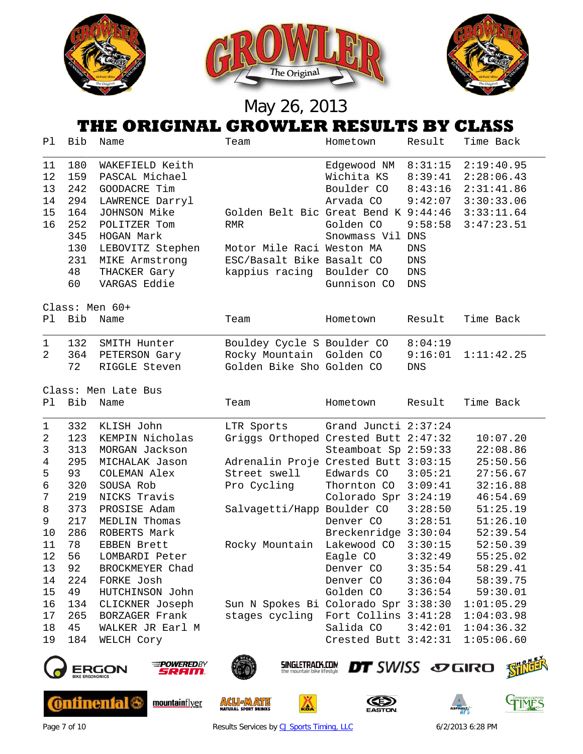

### **THE ORIGINAL GROWLER RESULTS BY CLASS**

| P1                                                                                                          | Bib                                                                                                                         | Name                                                                                                                                                                                                                                                                                                                        | Team                                                                                                                                                                                                                                | Hometown                                                                                                                                                                                                                                                              | Result                                                                                                        | Time Back                                                                                                                                                                                                                    |
|-------------------------------------------------------------------------------------------------------------|-----------------------------------------------------------------------------------------------------------------------------|-----------------------------------------------------------------------------------------------------------------------------------------------------------------------------------------------------------------------------------------------------------------------------------------------------------------------------|-------------------------------------------------------------------------------------------------------------------------------------------------------------------------------------------------------------------------------------|-----------------------------------------------------------------------------------------------------------------------------------------------------------------------------------------------------------------------------------------------------------------------|---------------------------------------------------------------------------------------------------------------|------------------------------------------------------------------------------------------------------------------------------------------------------------------------------------------------------------------------------|
| 11<br>12<br>13<br>14<br>15<br>16                                                                            | 180<br>159<br>242<br>294<br>164<br>252<br>345<br>130<br>231<br>48<br>60                                                     | WAKEFIELD Keith<br>PASCAL Michael<br>GOODACRE Tim<br>LAWRENCE Darryl<br>JOHNSON Mike<br>POLITZER Tom<br>HOGAN Mark<br>LEBOVITZ Stephen<br>MIKE Armstrong<br>THACKER Gary<br>VARGAS Eddie                                                                                                                                    | Golden Belt Bic Great Bend K 9:44:46<br><b>RMR</b><br>Motor Mile Raci Weston MA<br>ESC/Basalt Bike Basalt CO<br>kappius racing                                                                                                      | Edgewood NM<br>Wichita KS<br>Boulder CO<br>Arvada CO<br>Golden CO<br>Snowmass Vil DNS<br>Boulder CO<br>Gunnison CO                                                                                                                                                    | 8:31:15<br>8:39:41<br>8:43:16<br>9:42:07<br>9:58:58<br>DNS<br>$\mathop{\rm DNS}$<br>${\rm DNS}$<br><b>DNS</b> | 2:19:40.95<br>2:28:06.43<br>2:31:41.86<br>3:30:33.06<br>3:33:11.64<br>3:47:23.51                                                                                                                                             |
| P1                                                                                                          | Bib                                                                                                                         | Class: Men 60+<br>Name                                                                                                                                                                                                                                                                                                      | Team                                                                                                                                                                                                                                | Hometown                                                                                                                                                                                                                                                              | Result                                                                                                        | Time Back                                                                                                                                                                                                                    |
| $\mathbf{1}$<br>$\overline{2}$                                                                              | 132<br>364<br>72                                                                                                            | SMITH Hunter<br>PETERSON Gary<br>RIGGLE Steven                                                                                                                                                                                                                                                                              | Bouldey Cycle S Boulder CO<br>Rocky Mountain Golden CO<br>Golden Bike Sho Golden CO                                                                                                                                                 |                                                                                                                                                                                                                                                                       | 8:04:19<br>9:16:01<br><b>DNS</b>                                                                              | 1:11:42.25                                                                                                                                                                                                                   |
| Ρl                                                                                                          | Bib                                                                                                                         | Class: Men Late Bus<br>Name                                                                                                                                                                                                                                                                                                 | Team                                                                                                                                                                                                                                | Hometown                                                                                                                                                                                                                                                              | Result                                                                                                        | Time Back                                                                                                                                                                                                                    |
| 1<br>2<br>3<br>4<br>5<br>6<br>7<br>$\,8\,$<br>9<br>10<br>11<br>12<br>13<br>14<br>15<br>16<br>17<br>18<br>19 | 332<br>123<br>313<br>295<br>93<br>320<br>219<br>373<br>217<br>286<br>78<br>56<br>92<br>224<br>49<br>134<br>265<br>45<br>184 | KLISH John<br>KEMPIN Nicholas<br>MORGAN Jackson<br>MICHALAK Jason<br>COLEMAN Alex<br>SOUSA Rob<br>NICKS Travis<br>PROSISE Adam<br>MEDLIN Thomas<br>ROBERTS Mark<br>EBBEN Brett<br>LOMBARDI Peter<br>BROCKMEYER Chad<br>FORKE Josh<br>HUTCHINSON John<br>CLICKNER Joseph<br>BORZAGER Frank<br>WALKER JR Earl M<br>WELCH Cory | LTR Sports<br>Griggs Orthoped Crested Butt 2:47:32<br>Adrenalin Proje Crested Butt 3:03:15<br>Street swell<br>Pro Cycling<br>Salvagetti/Happ Boulder CO<br>Rocky Mountain<br>Sun N Spokes Bi Colorado Spr 3:38:30<br>stages cycling | Grand Juncti 2:37:24<br>Steamboat Sp 2:59:33<br>Edwards CO<br>Thornton CO<br>Colorado Spr 3:24:19<br>Denver CO<br>Breckenridge 3:30:04<br>Lakewood CO<br>Eagle CO<br>Denver CO<br>Denver CO<br>Golden CO<br>Fort Collins 3:41:28<br>Salida CO<br>Crested Butt 3:42:31 | 3:05:21<br>3:09:41<br>3:28:50<br>3:28:51<br>3:30:15<br>3:32:49<br>3:35:54<br>3:36:04<br>3:36:54<br>3:42:01    | 10:07.20<br>22:08.86<br>25:50.56<br>27:56.67<br>32:16.88<br>46:54.69<br>51:25.19<br>51:26.10<br>52:39.54<br>52:50.39<br>55:25.02<br>58:29.41<br>58:39.75<br>59:30.01<br>1:01:05.29<br>1:04:03.98<br>1:04:36.32<br>1:05:06.60 |
|                                                                                                             | <b>BIKE ERGONOMICS</b>                                                                                                      | <b>POWERED</b> BY<br>7337111                                                                                                                                                                                                                                                                                                | <b>SINGLETRACK.COM</b><br>the mountain bike lifestyle                                                                                                                                                                               | <b>DT</b> SWISS SOGIRO                                                                                                                                                                                                                                                |                                                                                                               |                                                                                                                                                                                                                              |











Page 7 of 10 **Results Services b[y CJ Sports Timing, LLC](http://www.cjtiming.com/)** 6/2/2013 6:28 PM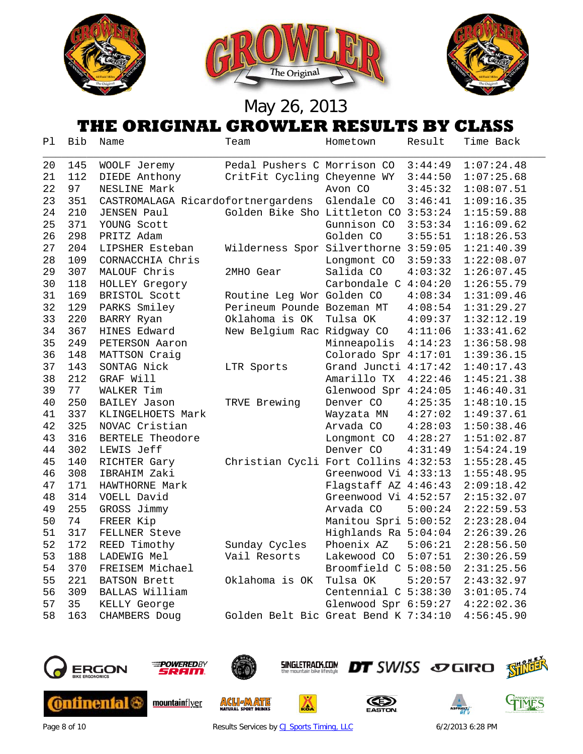





### **THE ORIGINAL GROWLER RESULTS BY CLASS**

| Ρl | Bib | Name                               | Team                                 | Hometown             | Result  | Time Back  |
|----|-----|------------------------------------|--------------------------------------|----------------------|---------|------------|
| 20 | 145 | WOOLF Jeremy                       | Pedal Pushers C Morrison CO          |                      | 3:44:49 | 1:07:24.48 |
| 21 | 112 | DIEDE Anthony                      | CritFit Cycling Cheyenne WY          |                      | 3:44:50 | 1:07:25.68 |
| 22 | 97  | NESLINE Mark                       |                                      | Avon CO              | 3:45:32 | 1:08:07.51 |
| 23 | 351 | CASTROMALAGA Ricardofortnergardens |                                      | Glendale CO          | 3:46:41 | 1:09:16.35 |
| 24 | 210 | <b>JENSEN Paul</b>                 | Golden Bike Sho Littleton CO 3:53:24 |                      |         | 1:15:59.88 |
| 25 | 371 | YOUNG Scott                        |                                      | Gunnison CO          | 3:53:34 | 1:16:09.62 |
| 26 | 298 | PRITZ Adam                         |                                      | Golden CO            | 3:55:51 | 1:18:26.53 |
| 27 | 204 | LIPSHER Esteban                    | Wilderness Spor Silverthorne 3:59:05 |                      |         | 1:21:40.39 |
| 28 | 109 | CORNACCHIA Chris                   |                                      | Longmont CO          | 3:59:33 | 1:22:08.07 |
| 29 | 307 | MALOUF Chris                       | 2MHO Gear                            | Salida CO            | 4:03:32 | 1:26:07.45 |
| 30 | 118 | HOLLEY Gregory                     |                                      | Carbondale C 4:04:20 |         | 1:26:55.79 |
| 31 | 169 | BRISTOL Scott                      | Routine Leg Wor Golden CO            |                      | 4:08:34 | 1:31:09.46 |
| 32 | 129 | PARKS Smiley                       | Perineum Pounde Bozeman MT           |                      | 4:08:54 | 1:31:29.27 |
| 33 | 220 | BARRY Ryan                         | Oklahoma is OK                       | Tulsa OK             | 4:09:37 | 1:32:12.19 |
| 34 | 367 | HINES Edward                       | New Belgium Rac Ridgway CO           |                      | 4:11:06 | 1:33:41.62 |
| 35 | 249 | PETERSON Aaron                     |                                      | Minneapolis          | 4:14:23 | 1:36:58.98 |
| 36 | 148 | MATTSON Craig                      |                                      | Colorado Spr 4:17:01 |         | 1:39:36.15 |
| 37 | 143 | SONTAG Nick                        | LTR Sports                           | Grand Juncti 4:17:42 |         | 1:40:17.43 |
| 38 | 212 | GRAF Will                          |                                      | Amarillo TX          | 4:22:46 | 1:45:21.38 |
| 39 | 77  | WALKER Tim                         |                                      | Glenwood Spr 4:24:05 |         | 1:46:40.31 |
| 40 | 250 | <b>BAILEY Jason</b>                | TRVE Brewing                         | Denver CO            | 4:25:35 | 1:48:10.15 |
| 41 | 337 | KLINGELHOETS Mark                  |                                      | Wayzata MN           | 4:27:02 | 1:49:37.61 |
| 42 | 325 | NOVAC Cristian                     |                                      | Arvada CO            | 4:28:03 | 1:50:38.46 |
| 43 | 316 | BERTELE Theodore                   |                                      | Longmont CO          | 4:28:27 | 1:51:02.87 |
| 44 | 302 | LEWIS Jeff                         |                                      | Denver CO            | 4:31:49 | 1:54:24.19 |
| 45 | 140 | RICHTER Gary                       | Christian Cycli Fort Collins 4:32:53 |                      |         | 1:55:28.45 |
| 46 | 308 | IBRAHIM Zaki                       |                                      | Greenwood Vi 4:33:13 |         | 1:55:48.95 |
| 47 | 171 | HAWTHORNE Mark                     |                                      | Flagstaff AZ 4:46:43 |         | 2:09:18.42 |
| 48 | 314 | VOELL David                        |                                      | Greenwood Vi 4:52:57 |         | 2:15:32.07 |
| 49 | 255 | GROSS Jimmy                        |                                      | Arvada CO            | 5:00:24 | 2:22:59.53 |
| 50 | 74  | FREER Kip                          |                                      | Manitou Spri 5:00:52 |         | 2:23:28.04 |
| 51 | 317 | FELLNER Steve                      |                                      | Highlands Ra 5:04:04 |         | 2:26:39.26 |
| 52 | 172 | REED Timothy                       | Sunday Cycles                        | Phoenix AZ           | 5:06:21 | 2:28:56.50 |
| 53 | 188 | LADEWIG Mel                        | Vail Resorts                         | Lakewood CO          | 5:07:51 | 2:30:26.59 |
| 54 | 370 | FREISEM Michael                    |                                      | Broomfield C 5:08:50 |         | 2:31:25.56 |
| 55 | 221 | BATSON Brett                       | Oklahoma is OK                       | Tulsa OK             | 5:20:57 | 2:43:32.97 |
| 56 | 309 | BALLAS William                     |                                      | Centennial C 5:38:30 |         | 3:01:05.74 |
| 57 | 35  | KELLY George                       |                                      | Glenwood Spr 6:59:27 |         | 4:22:02.36 |
| 58 | 163 | CHAMBERS Doug                      | Golden Belt Bic Great Bend K 7:34:10 |                      |         | 4:56:45.90 |



**Ontinental 6** 



mountainflyer



**ACLIEADE** 



Δ





GIMES

Page 8 of 10 **Results Services b[y CJ Sports Timing, LLC](http://www.cjtiming.com/)** 6/2/2013 6:28 PM

**DT** SWISS SOGIRO SHILL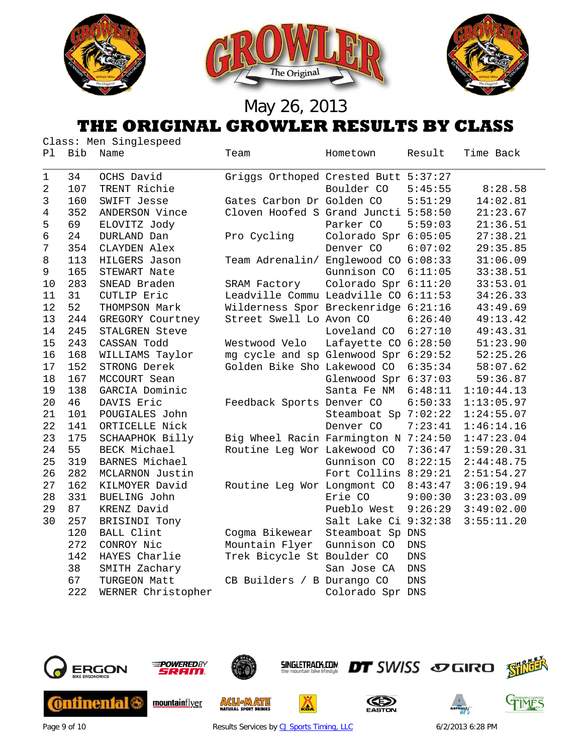

#### **THE ORIGINAL GROWLER RESULTS BY CLASS**

|    | Class: Men Singlespeed |                     |                                      |                      |            |            |  |
|----|------------------------|---------------------|--------------------------------------|----------------------|------------|------------|--|
| Ρl | Bib                    | Name                | Team                                 | Hometown             | Result     | Time Back  |  |
| 1  | 34                     | OCHS David          | Griggs Orthoped Crested Butt 5:37:27 |                      |            |            |  |
| 2  | 107                    | TRENT Richie        |                                      | Boulder CO           | 5:45:55    | 8:28.58    |  |
| 3  | 160                    | SWIFT Jesse         | Gates Carbon Dr Golden CO            |                      | 5:51:29    | 14:02.81   |  |
| 4  | 352                    | ANDERSON Vince      | Cloven Hoofed S Grand Juncti 5:58:50 |                      |            | 21:23.67   |  |
| 5  | 69                     | ELOVITZ Jody        |                                      | Parker CO            | 5:59:03    | 21:36.51   |  |
| 6  | 24                     | DURLAND Dan         | Pro Cycling                          | Colorado Spr 6:05:05 |            | 27:38.21   |  |
| 7  | 354                    | CLAYDEN Alex        |                                      | Denver CO            | 6:07:02    | 29:35.85   |  |
| 8  | 113                    | HILGERS Jason       | Team Adrenalin/ Englewood CO 6:08:33 |                      |            | 31:06.09   |  |
| 9  | 165                    | STEWART Nate        |                                      | Gunnison CO          | 6:11:05    | 33:38.51   |  |
| 10 | 283                    | SNEAD Braden        | SRAM Factory                         | Colorado Spr 6:11:20 |            | 33:53.01   |  |
| 11 | 31                     | CUTLIP Eric         | Leadville Commu Leadville CO 6:11:53 |                      |            | 34:26.33   |  |
| 12 | 52                     | THOMPSON Mark       | Wilderness Spor Breckenridge 6:21:16 |                      |            | 43:49.69   |  |
| 13 | 244                    | GREGORY Courtney    | Street Swell Lo Avon CO              |                      | 6:26:40    | 49:13.42   |  |
| 14 | 245                    | STALGREN Steve      |                                      | Loveland CO          | 6:27:10    | 49:43.31   |  |
| 15 | 243                    | CASSAN Todd         | Westwood Velo                        | Lafayette CO 6:28:50 |            | 51:23.90   |  |
| 16 | 168                    | WILLIAMS Taylor     | mg cycle and sp Glenwood Spr 6:29:52 |                      |            | 52:25.26   |  |
| 17 | 152                    | STRONG Derek        | Golden Bike Sho Lakewood CO          |                      | 6:35:34    | 58:07.62   |  |
| 18 | 167                    | MCCOURT Sean        |                                      | Glenwood Spr 6:37:03 |            | 59:36.87   |  |
| 19 | 138                    | GARCIA Dominic      |                                      | Santa Fe NM          | 6:48:11    | 1:10:44.13 |  |
| 20 | 46                     | DAVIS Eric          | Feedback Sports Denver CO            |                      | 6:50:33    | 1:13:05.97 |  |
| 21 | 101                    | POUGIALES John      |                                      | Steamboat Sp 7:02:22 |            | 1:24:55.07 |  |
| 22 | 141                    | ORTICELLE Nick      |                                      | Denver CO            | 7:23:41    | 1:46:14.16 |  |
| 23 | 175                    | SCHAAPHOK Billy     | Big Wheel Racin Farmington N 7:24:50 |                      |            | 1:47:23.04 |  |
| 24 | 55                     | BECK Michael        | Routine Leg Wor Lakewood CO          |                      | 7:36:47    | 1:59:20.31 |  |
| 25 | 319                    | BARNES Michael      |                                      | Gunnison CO          | 8:22:15    | 2:44:48.75 |  |
| 26 | 282                    | MCLARNON Justin     |                                      | Fort Collins 8:29:21 |            | 2:51:54.27 |  |
| 27 | 162                    | KILMOYER David      | Routine Leg Wor Longmont CO          |                      | 8:43:47    | 3:06:19.94 |  |
| 28 | 331                    | <b>BUELING John</b> |                                      | Erie CO              | 9:00:30    | 3:23:03.09 |  |
| 29 | 87                     | KRENZ David         |                                      | Pueblo West          | 9:26:29    | 3:49:02.00 |  |
| 30 | 257                    | BRISINDI Tony       |                                      | Salt Lake Ci 9:32:38 |            | 3:55:11.20 |  |
|    | 120                    | BALL Clint          | Cogma Bikewear                       | Steamboat Sp DNS     |            |            |  |
|    | 272                    | CONROY Nic          | Mountain Flyer                       | Gunnison CO          | <b>DNS</b> |            |  |
|    | 142                    | HAYES Charlie       | Trek Bicycle St Boulder CO           |                      | <b>DNS</b> |            |  |
|    | 38                     | SMITH Zachary       |                                      | San Jose CA          | <b>DNS</b> |            |  |
|    | 67                     | TURGEON Matt        | CB Builders / B Durango CO           |                      | <b>DNS</b> |            |  |
|    | 222                    | WERNER Christopher  |                                      | Colorado Spr DNS     |            |            |  |



Page 9 of 10 **Results Services b[y CJ Sports Timing, LLC](http://www.cjtiming.com/)** 6/2/2013 6:28 PM